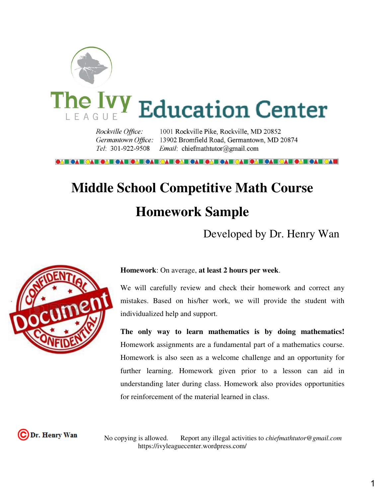

# The Ivy Education Center

1001 Rockville Pike, Rockville, MD 20852 Rockville Office: Germantown Office: 13902 Bromfield Road, Germantown, MD 20874 Tel: 301-922-9508 Email: chiefmathtutor@gmail.com

# **Middle School Competitive Math Course Homework Sample**

Developed by Dr. Henry Wan



## **Homework**: On average, **at least 2 hours per week**.

We will carefully review and check their homework and correct any mistakes. Based on his/her work, we will provide the student with individualized help and support.

**The only way to learn mathematics is by doing mathematics!**  Homework assignments are a fundamental part of a mathematics course. Homework is also seen as a welcome challenge and an opportunity for further learning. Homework given prior to a lesson can aid in understanding later during class. Homework also provides opportunities for reinforcement of the material learned in class.

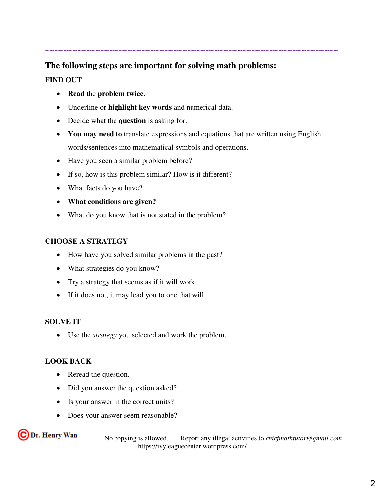# **~~~~~~~~~~~~~~~~~~~~~~~~~~~~~~~~~~~~~~~~~~~~~~~~~~~~~~~~~~~~~~~~**

# **The following steps are important for solving math problems: FIND OUT**

- **Read** the **problem twice**.
- Underline or **highlight key words** and numerical data.
- Decide what the **question** is asking for.
- You may need to translate expressions and equations that are written using English words/sentences into mathematical symbols and operations.
- Have you seen a similar problem before?
- If so, how is this problem similar? How is it different?
- What facts do you have?
- **What conditions are given?**
- What do you know that is not stated in the problem?

# **CHOOSE A STRATEGY**

- How have you solved similar problems in the past?
- What strategies do you know?
- Try a strategy that seems as if it will work.
- If it does not, it may lead you to one that will.

# **SOLVE IT**

Use the *strategy* you selected and work the problem.

# **LOOK BACK**

- Reread the question.
- Did you answer the question asked?
- Is your answer in the correct units?
- Does your answer seem reasonable?

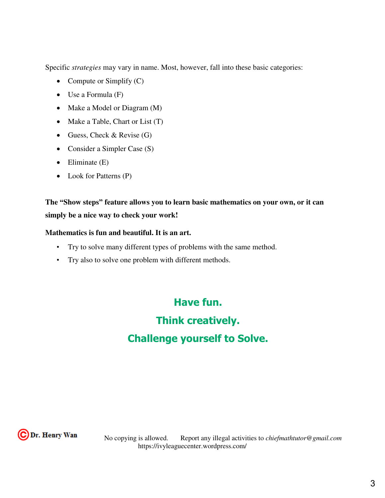Specific *strategies* may vary in name. Most, however, fall into these basic categories:

- Compute or Simplify  $(C)$
- Use a Formula (F)
- Make a Model or Diagram (M)
- Make a Table, Chart or List (T)
- Guess, Check & Revise  $(G)$
- Consider a Simpler Case (S)
- $\bullet$  Eliminate (E)
- Look for Patterns (P)

**The "Show steps" feature allows you to learn basic mathematics on your own, or it can simply be a nice way to check your work!** 

# **Mathematics is fun and beautiful. It is an art.**

- Try to solve many different types of problems with the same method.
- Try also to solve one problem with different methods.

**Have fun. Think creatively. Challenge yourself to Solve.**

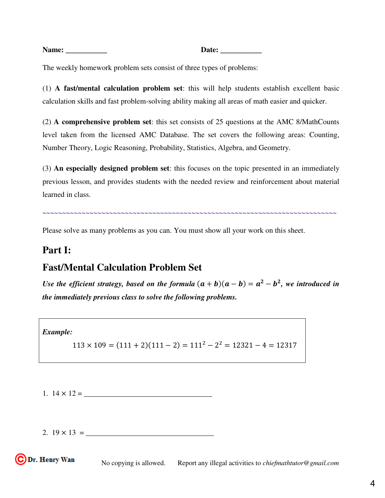**Name: \_\_\_\_\_\_\_\_\_\_\_ Date: \_\_\_\_\_\_\_\_\_\_\_** 

The weekly homework problem sets consist of three types of problems:

(1) **A fast/mental calculation problem set**: this will help students establish excellent basic calculation skills and fast problem-solving ability making all areas of math easier and quicker.

(2) **A comprehensive problem set**: this set consists of 25 questions at the AMC 8/MathCounts level taken from the licensed AMC Database. The set covers the following areas: Counting, Number Theory, Logic Reasoning, Probability, Statistics, Algebra, and Geometry.

(3) **An especially designed problem set**: this focuses on the topic presented in an immediately previous lesson, and provides students with the needed review and reinforcement about material learned in class.

**~~~~~~~~~~~~~~~~~~~~~~~~~~~~~~~~~~~~~~~~~~~~~~~~~~~~~~~~~~~~~~~~~~~~~~~~~~~**

Please solve as many problems as you can. You must show all your work on this sheet.

# **Part I:**

# **Fast/Mental Calculation Problem Set**

*Use the efficient strategy, based on the formula*  $(a + b)(a - b) = a^2 - b^2$ , we introduced in *the immediately previous class to solve the following problems.* 

*Example:* 

$$
113 \times 109 = (111 + 2)(111 - 2) = 111^2 - 2^2 = 12321 - 4 = 12317
$$

1. 14 × 12 = \_\_\_\_\_\_\_\_\_\_\_\_\_\_\_\_\_\_\_\_\_\_\_\_\_\_\_\_\_\_\_\_\_\_

2.  $19 \times 13 =$ 

C Dr. Henry Wan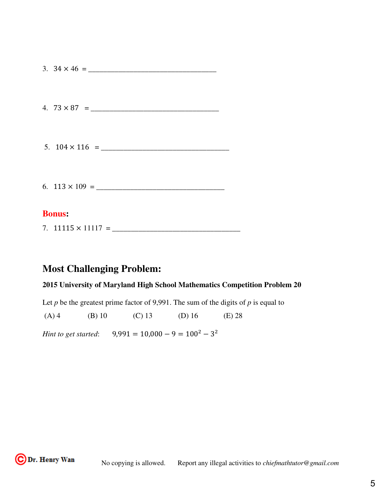# **Bonus:**

7. 11115 × 11117 = \_\_\_\_\_\_\_\_\_\_\_\_\_\_\_\_\_\_\_\_\_\_\_\_\_\_\_\_\_\_\_\_\_\_

# **Most Challenging Problem:**

# **2015 University of Maryland High School Mathematics Competition Problem 20**

Let  $p$  be the greatest prime factor of 9,991. The sum of the digits of  $p$  is equal to

(A) 4 (B) 10 (C) 13 (D) 16 (E) 28

*Hint to get started*:  $9,991 = 10,000 - 9 = 100^2 - 3^2$ 

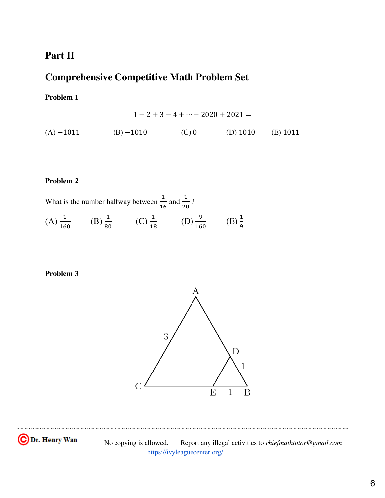# **Part II**

# **Comprehensive Competitive Math Problem Set**

# **Problem 1**

$$
1 - 2 + 3 - 4 + \dots - 2020 + 2021 =
$$
  
(A) -1011 (B) -1010 (C) 0 (D) 1010 (E) 1011

# **Problem 2**

What is the number halfway between  $\frac{1}{10}$ 16 and  $\frac{1}{2}$ 20 ?  $(A) \frac{1}{16}$ 160  $(B) \frac{1}{2}$ 80  $(C) \frac{1}{16}$ 18  $(D) \frac{9}{16}$ 160 (E)  $\frac{1}{2}$ 9

# **Problem 3**



~~~~~~~~~~~~~~~~~~~~~~~~~~~~~~~~~~~~~~~~~~~~~~~~~~~~~~~~~~~~~~~~~~~~~~~~~~~~~~~~~~~~~~~~~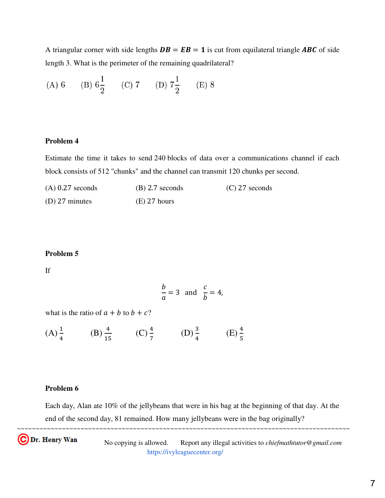A triangular corner with side lengths  $DB = EB = 1$  is cut from equilateral triangle ABC of side length 3. What is the perimeter of the remaining quadrilateral?

(A) 6 (B) 
$$
6\frac{1}{2}
$$
 (C) 7 (D)  $7\frac{1}{2}$  (E) 8

#### **Problem 4**

Estimate the time it takes to send 240 blocks of data over a communications channel if each block consists of 512 "chunks" and the channel can transmit 120 chunks per second.

| $(A)$ 0.27 seconds       | $(B)$ 2.7 seconds | $(C)$ 27 seconds |
|--------------------------|-------------------|------------------|
| (D) $27 \text{ minutes}$ | $(E)$ 27 hours    |                  |

# **Problem 5**

If

$$
\frac{b}{a} = 3 \text{ and } \frac{c}{b} = 4,
$$

what is the ratio of  $a + b$  to  $b + c$ ?

 $(A) \frac{1}{4}$ 4 (B)  $\frac{4}{11}$ 15  $(C) \frac{4}{7}$ 7 (D)  $\frac{3}{4}$ 4 (E)  $\frac{4}{5}$ 5

# **Problem 6**

~~~~~~~~~~~~~~~~~~~~~~~~~~~~~~~~~~~~~~~~~~~~~~~~~~~~~~~~~~~~~~~~~~~~~~~~~~~~~~~~~~~~~~~~~ Each day, Alan ate 10% of the jellybeans that were in his bag at the beginning of that day. At the end of the second day, 81 remained. How many jellybeans were in the bag originally?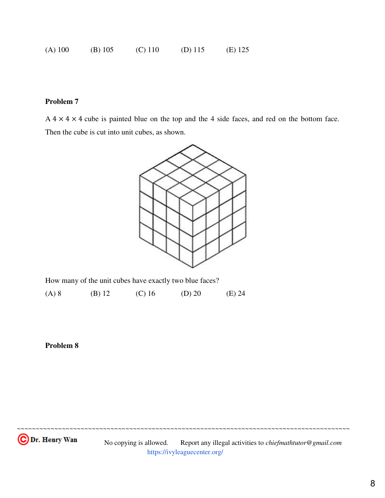| $(A)$ 100 | $(B)$ 105 | $(C)$ 110 | (D) $115$ | $(E)$ 125 |
|-----------|-----------|-----------|-----------|-----------|
|-----------|-----------|-----------|-----------|-----------|

 $A$  4  $\times$  4  $\times$  4 cube is painted blue on the top and the 4 side faces, and red on the bottom face. Then the cube is cut into unit cubes, as shown.



How many of the unit cubes have exactly two blue faces?

(A) 8 (B) 12 (C) 16 (D) 20 (E) 24

# **Problem 8**

 No copying is allowed. Report any illegal activities to *chiefmathtutor@gmail.com*  <https://ivyleaguecenter.org/>

~~~~~~~~~~~~~~~~~~~~~~~~~~~~~~~~~~~~~~~~~~~~~~~~~~~~~~~~~~~~~~~~~~~~~~~~~~~~~~~~~~~~~~~~~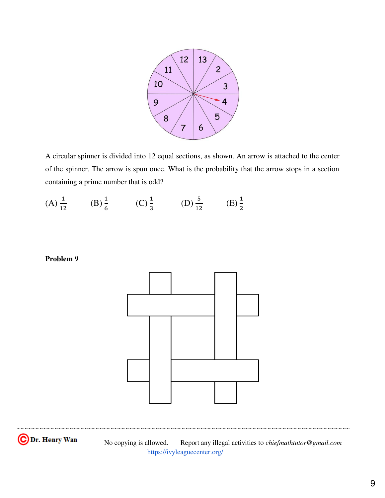

A circular spinner is divided into 12 equal sections, as shown. An arrow is attached to the center of the spinner. The arrow is spun once. What is the probability that the arrow stops in a section containing a prime number that is odd?

 $(A) \frac{1}{12}$ 12 (B)  $\frac{1}{6}$ 6 (C)  $\frac{1}{2}$ 3 (D)  $\frac{5}{15}$ 12  $(E) \frac{1}{2}$ 2

# **Problem 9**



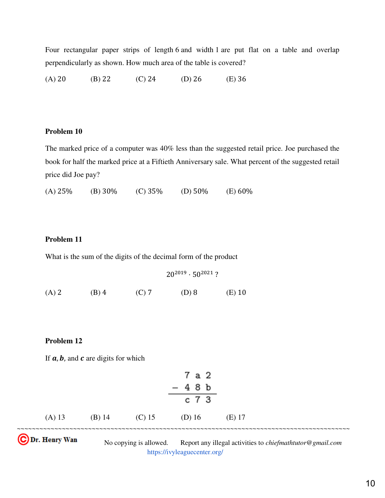Four rectangular paper strips of length 6 and width 1 are put flat on a table and overlap perpendicularly as shown. How much area of the table is covered?

(A) 20 (B) 22 (C) 24 (D) 26 (E) 36

## **Problem 10**

The marked price of a computer was 40% less than the suggested retail price. Joe purchased the book for half the marked price at a Fiftieth Anniversary sale. What percent of the suggested retail price did Joe pay?

(A) 25% (B) 30% (C) 35% (D) 50% (E) 60%

# **Problem 11**

What is the sum of the digits of the decimal form of the product

 $20^{2019} \cdot 50^{2021}$ ? (A) 2 (B) 4 (C) 7 (D) 8 (E) 10

## **Problem 12**

If  $a, b$ , and  $c$  are digits for which

|        |          |        | 7 a 2<br>$-48b$ |          |  |
|--------|----------|--------|-----------------|----------|--|
|        |          |        | c 7 3           |          |  |
| (A) 13 | $(B)$ 14 | (C) 15 | (D) $16$        | $(E)$ 17 |  |
|        |          |        |                 |          |  |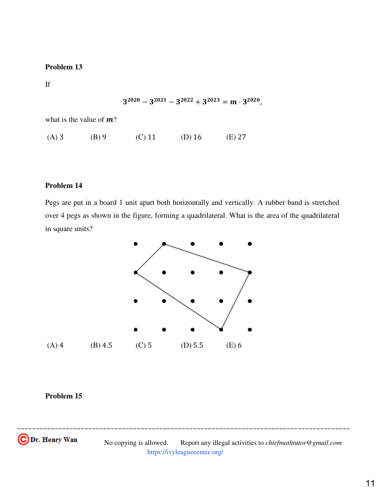If

$$
3^{2020}-3^{2021}-3^{2022}+3^{2023}=m\cdot 3^{2020},
$$

what is the value of  $m$ ?

(A) 3 (B) 9 (C) 11 (D) 16 (E) 27

## **Problem 14**

Pegs are put in a board 1 unit apart both horizontally and vertically. A rubber band is stretched over 4 pegs as shown in the figure, forming a quadrilateral. What is the area of the quadrilateral in square units?



# **Problem 15**



 No copying is allowed. Report any illegal activities to *chiefmathtutor@gmail.com*  <https://ivyleaguecenter.org/>

~~~~~~~~~~~~~~~~~~~~~~~~~~~~~~~~~~~~~~~~~~~~~~~~~~~~~~~~~~~~~~~~~~~~~~~~~~~~~~~~~~~~~~~~~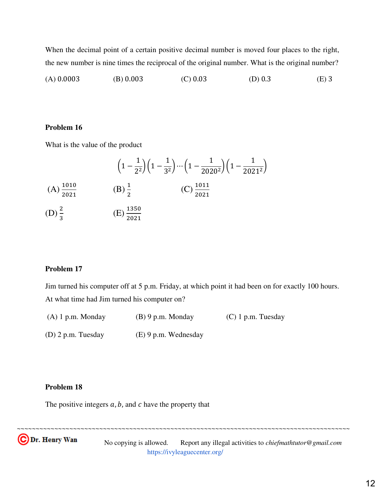When the decimal point of a certain positive decimal number is moved four places to the right, the new number is nine times the reciprocal of the original number. What is the original number?

(A) 0.0003 (B) 0.003 (C) 0.03 (D) 0.3 (E) 3

#### **Problem 16**

What is the value of the product

$$
\left(1 - \frac{1}{2^2}\right)\left(1 - \frac{1}{3^2}\right)\cdots\left(1 - \frac{1}{2020^2}\right)\left(1 - \frac{1}{2021^2}\right)
$$
\n(A)  $\frac{1010}{2021}$  \t(B)  $\frac{1}{2}$  \t(C)  $\frac{1011}{2021}$   
\n(D)  $\frac{2}{3}$  \t(E)  $\frac{1350}{2021}$ 

#### **Problem 17**

Jim turned his computer off at 5 p.m. Friday, at which point it had been on for exactly 100 hours. At what time had Jim turned his computer on?

| $(A)$ 1 p.m. Monday  | $(B)$ 9 p.m. Monday    | $(C)$ 1 p.m. Tuesday |
|----------------------|------------------------|----------------------|
| $(D)$ 2 p.m. Tuesday | $(E)$ 9 p.m. Wednesday |                      |

#### **Problem 18**

The positive integers  $a$ ,  $b$ , and  $c$  have the property that

 No copying is allowed. Report any illegal activities to *chiefmathtutor@gmail.com*  <https://ivyleaguecenter.org/>

~~~~~~~~~~~~~~~~~~~~~~~~~~~~~~~~~~~~~~~~~~~~~~~~~~~~~~~~~~~~~~~~~~~~~~~~~~~~~~~~~~~~~~~~~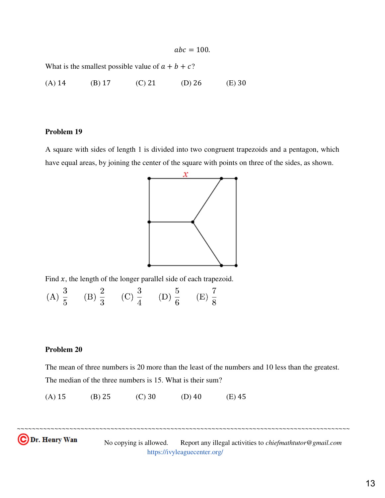$abc = 100.$ 

What is the smallest possible value of  $a + b + c$ ?

(A) 14 (B) 17 (C) 21 (D) 26 (E) 30

#### **Problem 19**

A square with sides of length 1 is divided into two congruent trapezoids and a pentagon, which have equal areas, by joining the center of the square with points on three of the sides, as shown.



Find  $x$ , the length of the longer parallel side of each trapezoid.

(A)  $\frac{3}{5}$  (B)  $\frac{2}{3}$  (C)  $\frac{3}{4}$  (D)  $\frac{5}{6}$  (E)  $\frac{7}{8}$ 

#### **Problem 20**

The mean of three numbers is 20 more than the least of the numbers and 10 less than the greatest. The median of the three numbers is 15. What is their sum?

~~~~~~~~~~~~~~~~~~~~~~~~~~~~~~~~~~~~~~~~~~~~~~~~~~~~~~~~~~~~~~~~~~~~~~~~~~~~~~~~~~~~~~~~~

(A) 15 (B) 25 (C) 30 (D) 40 (E) 45

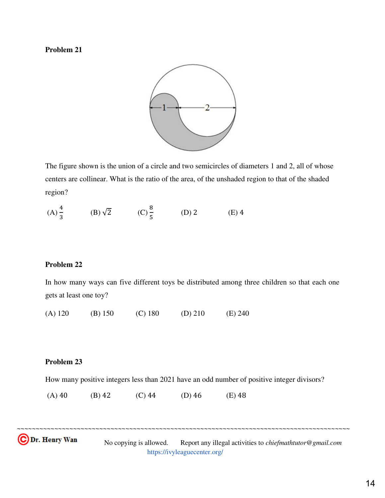

The figure shown is the union of a circle and two semicircles of diameters 1 and 2, all of whose centers are collinear. What is the ratio of the area, of the unshaded region to that of the shaded region?

(A) 
$$
\frac{4}{3}
$$
 \t(B)  $\sqrt{2}$  \t(C)  $\frac{8}{5}$  \t(D) 2 \t(E) 4

## **Problem 22**

In how many ways can five different toys be distributed among three children so that each one gets at least one toy?

(A) 120 (B) 150 (C) 180 (D) 210 (E) 240

# **Problem 23**

How many positive integers less than 2021 have an odd number of positive integer divisors?

~~~~~~~~~~~~~~~~~~~~~~~~~~~~~~~~~~~~~~~~~~~~~~~~~~~~~~~~~~~~~~~~~~~~~~~~~~~~~~~~~~~~~~~~~

(A) 40 (B) 42 (C) 44 (D) 46 (E) 48

с